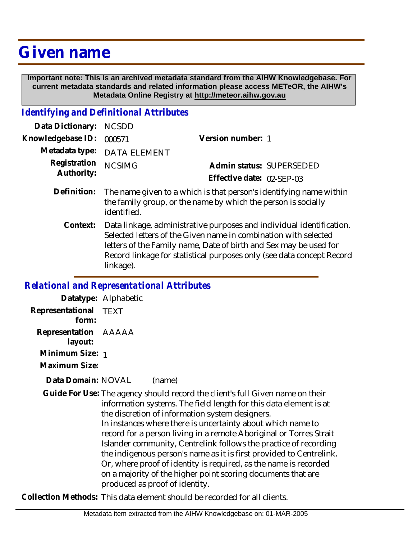# **Given name**

 **Important note: This is an archived metadata standard from the AIHW Knowledgebase. For current metadata standards and related information please access METeOR, the AIHW's Metadata Online Registry at http://meteor.aihw.gov.au**

## *Identifying and Definitional Attributes*

| Data Dictionary: NCSDD   |                                                                                 |                              |                          |
|--------------------------|---------------------------------------------------------------------------------|------------------------------|--------------------------|
| Knowledgebase ID: 000571 |                                                                                 | Version number: 1            |                          |
|                          | Metadata type: DATA ELEMENT                                                     |                              |                          |
| Registration NCSIMG      |                                                                                 |                              | Admin status: SUPERSEDED |
| Authority:               |                                                                                 | Effective date: $02$ -SFP-03 |                          |
|                          | $Dofinition:$ The name given to a which is that person's identifying name $\mu$ |                              |                          |

- Definition: The name given to a which is that person's identifying name within the family group, or the name by which the person is socially identified.
	- Data linkage, administrative purposes and individual identification. Selected letters of the Given name in combination with selected letters of the Family name, Date of birth and Sex may be used for Record linkage for statistical purposes only (see data concept Record linkage). **Context:**

#### *Relational and Representational Attributes*

|                                 | Datatype: Alphabetic                                                                                                                                                                                                                                                                                                                                                                                                                                                                                                                                                                                                                                        |
|---------------------------------|-------------------------------------------------------------------------------------------------------------------------------------------------------------------------------------------------------------------------------------------------------------------------------------------------------------------------------------------------------------------------------------------------------------------------------------------------------------------------------------------------------------------------------------------------------------------------------------------------------------------------------------------------------------|
| Representational<br>form:       | <b>TEXT</b>                                                                                                                                                                                                                                                                                                                                                                                                                                                                                                                                                                                                                                                 |
| Representation AAAAA<br>layout: |                                                                                                                                                                                                                                                                                                                                                                                                                                                                                                                                                                                                                                                             |
| Minimum Size: 1                 |                                                                                                                                                                                                                                                                                                                                                                                                                                                                                                                                                                                                                                                             |
| Maximum Size:                   |                                                                                                                                                                                                                                                                                                                                                                                                                                                                                                                                                                                                                                                             |
| Data Domain: NOVAL              | (name)                                                                                                                                                                                                                                                                                                                                                                                                                                                                                                                                                                                                                                                      |
|                                 | Guide For Use: The agency should record the client's full Given name on their<br>information systems. The field length for this data element is at<br>the discretion of information system designers.<br>In instances where there is uncertainty about which name to<br>record for a person living in a remote Aboriginal or Torres Strait<br>Islander community, Centrelink follows the practice of recording<br>the indigenous person's name as it is first provided to Centrelink.<br>Or, where proof of identity is required, as the name is recorded<br>on a majority of the higher point scoring documents that are<br>produced as proof of identity. |

**Collection Methods:** This data element should be recorded for all clients.